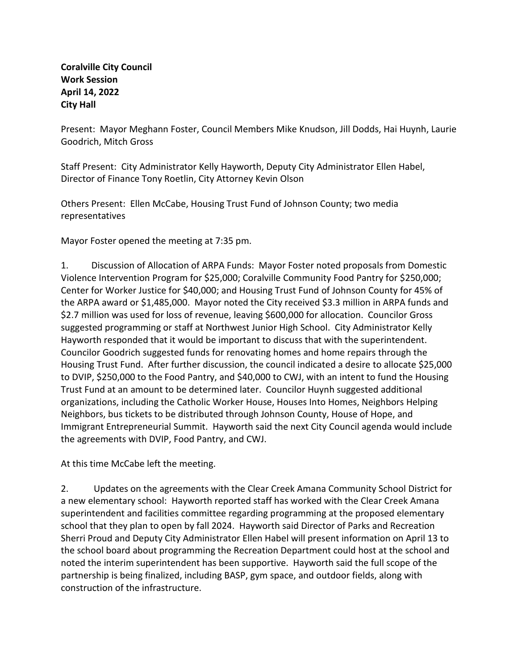## **Coralville City Council Work Session April 14, 2022 City Hall**

Present: Mayor Meghann Foster, Council Members Mike Knudson, Jill Dodds, Hai Huynh, Laurie Goodrich, Mitch Gross

Staff Present: City Administrator Kelly Hayworth, Deputy City Administrator Ellen Habel, Director of Finance Tony Roetlin, City Attorney Kevin Olson

Others Present: Ellen McCabe, Housing Trust Fund of Johnson County; two media representatives

Mayor Foster opened the meeting at 7:35 pm.

1. Discussion of Allocation of ARPA Funds: Mayor Foster noted proposals from Domestic Violence Intervention Program for \$25,000; Coralville Community Food Pantry for \$250,000; Center for Worker Justice for \$40,000; and Housing Trust Fund of Johnson County for 45% of the ARPA award or \$1,485,000. Mayor noted the City received \$3.3 million in ARPA funds and \$2.7 million was used for loss of revenue, leaving \$600,000 for allocation. Councilor Gross suggested programming or staff at Northwest Junior High School. City Administrator Kelly Hayworth responded that it would be important to discuss that with the superintendent. Councilor Goodrich suggested funds for renovating homes and home repairs through the Housing Trust Fund. After further discussion, the council indicated a desire to allocate \$25,000 to DVIP, \$250,000 to the Food Pantry, and \$40,000 to CWJ, with an intent to fund the Housing Trust Fund at an amount to be determined later. Councilor Huynh suggested additional organizations, including the Catholic Worker House, Houses Into Homes, Neighbors Helping Neighbors, bus tickets to be distributed through Johnson County, House of Hope, and Immigrant Entrepreneurial Summit. Hayworth said the next City Council agenda would include the agreements with DVIP, Food Pantry, and CWJ.

At this time McCabe left the meeting.

2. Updates on the agreements with the Clear Creek Amana Community School District for a new elementary school: Hayworth reported staff has worked with the Clear Creek Amana superintendent and facilities committee regarding programming at the proposed elementary school that they plan to open by fall 2024. Hayworth said Director of Parks and Recreation Sherri Proud and Deputy City Administrator Ellen Habel will present information on April 13 to the school board about programming the Recreation Department could host at the school and noted the interim superintendent has been supportive. Hayworth said the full scope of the partnership is being finalized, including BASP, gym space, and outdoor fields, along with construction of the infrastructure.